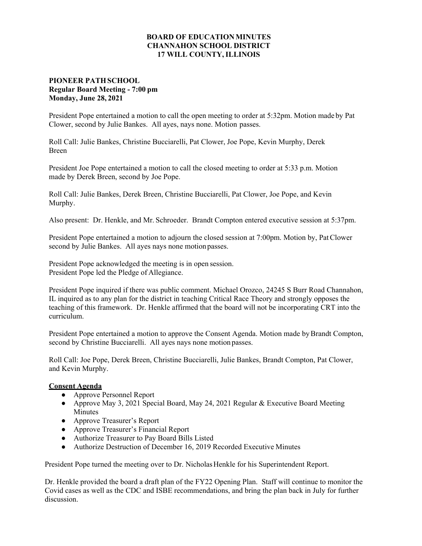## **BOARD OF EDUCATION MINUTES CHANNAHON SCHOOL DISTRICT 17 WILL COUNTY, ILLINOIS**

## **PIONEER PATH SCHOOL Regular Board Meeting - 7:00 pm Monday, June 28, 2021**

President Pope entertained a motion to call the open meeting to order at 5:32pm. Motion made by Pat Clower, second by Julie Bankes. All ayes, nays none. Motion passes.

Roll Call: Julie Bankes, Christine Bucciarelli, Pat Clower, Joe Pope, Kevin Murphy, Derek Breen

President Joe Pope entertained a motion to call the closed meeting to order at 5:33 p.m. Motion made by Derek Breen, second by Joe Pope.

Roll Call: Julie Bankes, Derek Breen, Christine Bucciarelli, Pat Clower, Joe Pope, and Kevin Murphy.

Also present: Dr. Henkle, and Mr. Schroeder. Brandt Compton entered executive session at 5:37pm.

President Pope entertained a motion to adjourn the closed session at 7:00pm. Motion by, Pat Clower second by Julie Bankes. All ayes nays none motion passes.

President Pope acknowledged the meeting is in open session. President Pope led the Pledge of Allegiance.

President Pope inquired if there was public comment. Michael Orozco, 24245 S Burr Road Channahon, IL inquired as to any plan for the district in teaching Critical Race Theory and strongly opposes the teaching of this framework. Dr. Henkle affirmed that the board will not be incorporating CRT into the curriculum.

President Pope entertained a motion to approve the Consent Agenda. Motion made by Brandt Compton, second by Christine Bucciarelli. All ayes nays none motion passes.

Roll Call: Joe Pope, Derek Breen, Christine Bucciarelli, Julie Bankes, Brandt Compton, Pat Clower, and Kevin Murphy.

## **Consent Agenda**

- **●** Approve Personnel Report
- **●** Approve May 3, 2021 Special Board, May 24, 2021 Regular & Executive Board Meeting Minutes
- **●** Approve Treasurer's Report
- **●** Approve Treasurer's Financial Report
- **●** Authorize Treasurer to Pay Board Bills Listed
- **●** Authorize Destruction of December 16, 2019 Recorded Executive Minutes

President Pope turned the meeting over to Dr. Nicholas Henkle for his Superintendent Report.

Dr. Henkle provided the board a draft plan of the FY22 Opening Plan. Staff will continue to monitor the Covid cases as well as the CDC and ISBE recommendations, and bring the plan back in July for further discussion.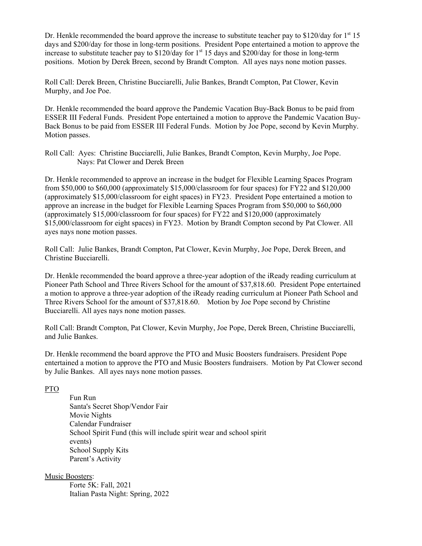Dr. Henkle recommended the board approve the increase to substitute teacher pay to  $$120/day$  for 1<sup>st</sup> 15 days and \$200/day for those in long-term positions. President Pope entertained a motion to approve the increase to substitute teacher pay to  $$120/day$  for  $1<sup>st</sup> 15$  days and  $$200/day$  for those in long-term positions. Motion by Derek Breen, second by Brandt Compton. All ayes nays none motion passes.

Roll Call: Derek Breen, Christine Bucciarelli, Julie Bankes, Brandt Compton, Pat Clower, Kevin Murphy, and Joe Poe.

Dr. Henkle recommended the board approve the Pandemic Vacation Buy-Back Bonus to be paid from ESSER III Federal Funds. President Pope entertained a motion to approve the Pandemic Vacation Buy-Back Bonus to be paid from ESSER III Federal Funds. Motion by Joe Pope, second by Kevin Murphy. Motion passes.

Roll Call: Ayes: Christine Bucciarelli, Julie Bankes, Brandt Compton, Kevin Murphy, Joe Pope. Nays: Pat Clower and Derek Breen

Dr. Henkle recommended to approve an increase in the budget for Flexible Learning Spaces Program from \$50,000 to \$60,000 (approximately \$15,000/classroom for four spaces) for FY22 and \$120,000 (approximately \$15,000/classroom for eight spaces) in FY23. President Pope entertained a motion to approve an increase in the budget for Flexible Learning Spaces Program from \$50,000 to \$60,000 (approximately \$15,000/classroom for four spaces) for FY22 and \$120,000 (approximately \$15,000/classroom for eight spaces) in FY23. Motion by Brandt Compton second by Pat Clower. All ayes nays none motion passes.

Roll Call: Julie Bankes, Brandt Compton, Pat Clower, Kevin Murphy, Joe Pope, Derek Breen, and Christine Bucciarelli.

Dr. Henkle recommended the board approve a three-year adoption of the iReady reading curriculum at Pioneer Path School and Three Rivers School for the amount of \$37,818.60. President Pope entertained a motion to approve a three-year adoption of the iReady reading curriculum at Pioneer Path School and Three Rivers School for the amount of \$37,818.60. Motion by Joe Pope second by Christine Bucciarelli. All ayes nays none motion passes.

Roll Call: Brandt Compton, Pat Clower, Kevin Murphy, Joe Pope, Derek Breen, Christine Bucciarelli, and Julie Bankes.

Dr. Henkle recommend the board approve the PTO and Music Boosters fundraisers. President Pope entertained a motion to approve the PTO and Music Boosters fundraisers. Motion by Pat Clower second by Julie Bankes. All ayes nays none motion passes.

PTO

 Fun Run Santa's Secret Shop/Vendor Fair Movie Nights Calendar Fundraiser School Spirit Fund (this will include spirit wear and school spirit events) School Supply Kits Parent's Activity

Music Boosters:

 Forte 5K: Fall, 2021 Italian Pasta Night: Spring, 2022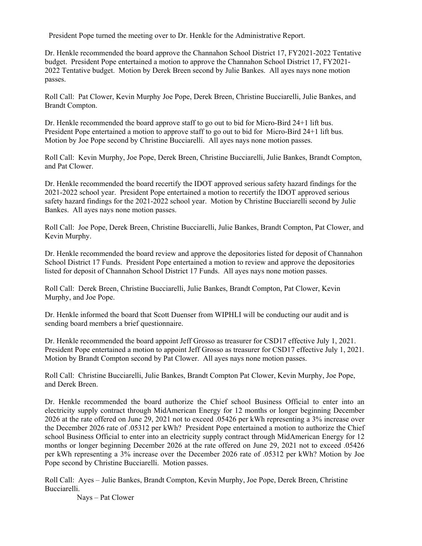President Pope turned the meeting over to Dr. Henkle for the Administrative Report.

Dr. Henkle recommended the board approve the Channahon School District 17, FY2021-2022 Tentative budget. President Pope entertained a motion to approve the Channahon School District 17, FY2021- 2022 Tentative budget. Motion by Derek Breen second by Julie Bankes. All ayes nays none motion passes.

Roll Call: Pat Clower, Kevin Murphy Joe Pope, Derek Breen, Christine Bucciarelli, Julie Bankes, and Brandt Compton.

Dr. Henkle recommended the board approve staff to go out to bid for Micro-Bird 24+1 lift bus. President Pope entertained a motion to approve staff to go out to bid for Micro-Bird 24+1 lift bus. Motion by Joe Pope second by Christine Bucciarelli. All ayes nays none motion passes.

Roll Call: Kevin Murphy, Joe Pope, Derek Breen, Christine Bucciarelli, Julie Bankes, Brandt Compton, and Pat Clower.

Dr. Henkle recommended the board recertify the IDOT approved serious safety hazard findings for the 2021-2022 school year. President Pope entertained a motion to recertify the IDOT approved serious safety hazard findings for the 2021-2022 school year. Motion by Christine Bucciarelli second by Julie Bankes. All ayes nays none motion passes.

Roll Call: Joe Pope, Derek Breen, Christine Bucciarelli, Julie Bankes, Brandt Compton, Pat Clower, and Kevin Murphy.

Dr. Henkle recommended the board review and approve the depositories listed for deposit of Channahon School District 17 Funds. President Pope entertained a motion to review and approve the depositories listed for deposit of Channahon School District 17 Funds. All ayes nays none motion passes.

Roll Call: Derek Breen, Christine Bucciarelli, Julie Bankes, Brandt Compton, Pat Clower, Kevin Murphy, and Joe Pope.

Dr. Henkle informed the board that Scott Duenser from WIPHLI will be conducting our audit and is sending board members a brief questionnaire.

Dr. Henkle recommended the board appoint Jeff Grosso as treasurer for CSD17 effective July 1, 2021. President Pope entertained a motion to appoint Jeff Grosso as treasurer for CSD17 effective July 1, 2021. Motion by Brandt Compton second by Pat Clower. All ayes nays none motion passes.

Roll Call: Christine Bucciarelli, Julie Bankes, Brandt Compton Pat Clower, Kevin Murphy, Joe Pope, and Derek Breen.

Dr. Henkle recommended the board authorize the Chief school Business Official to enter into an electricity supply contract through MidAmerican Energy for 12 months or longer beginning December 2026 at the rate offered on June 29, 2021 not to exceed .05426 per kWh representing a 3% increase over the December 2026 rate of .05312 per kWh? President Pope entertained a motion to authorize the Chief school Business Official to enter into an electricity supply contract through MidAmerican Energy for 12 months or longer beginning December 2026 at the rate offered on June 29, 2021 not to exceed .05426 per kWh representing a 3% increase over the December 2026 rate of .05312 per kWh? Motion by Joe Pope second by Christine Bucciarelli. Motion passes.

Roll Call: Ayes – Julie Bankes, Brandt Compton, Kevin Murphy, Joe Pope, Derek Breen, Christine Bucciarelli.

Nays – Pat Clower